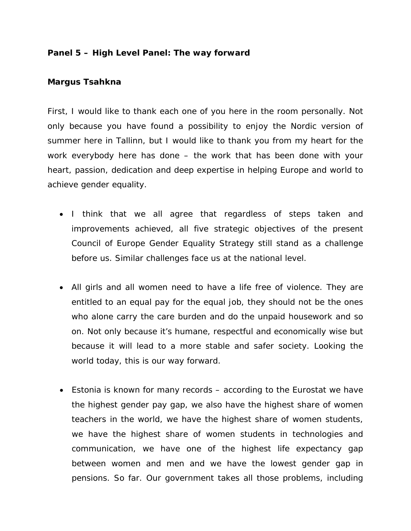**Panel 5 – High Level Panel: The way forward**

## **Margus Tsahkna**

First, I would like to thank each one of you here in the room personally. Not only because you have found a possibility to enjoy the Nordic version of summer here in Tallinn, but I would like to thank you from my heart for the work everybody here has done – the work that has been done with your heart, passion, dedication and deep expertise in helping Europe and world to achieve gender equality.

- I think that we all agree that regardless of steps taken and improvements achieved, all five strategic objectives of the present Council of Europe Gender Equality Strategy still stand as a challenge before us. Similar challenges face us at the national level.
- All girls and all women need to have a life free of violence. They are entitled to an equal pay for the equal job, they should not be the ones who alone carry the care burden and do the unpaid housework and so on. Not only because it's humane, respectful and economically wise but because it will lead to a more stable and safer society. Looking the world today, this is our way forward.
- Estonia is known for many records according to the Eurostat we have the highest gender pay gap, we also have the highest share of women teachers in the world, we have the highest share of women students, we have the highest share of women students in technologies and communication, we have one of the highest life expectancy gap between women and men and we have the lowest gender gap in pensions. So far. Our government takes all those problems, including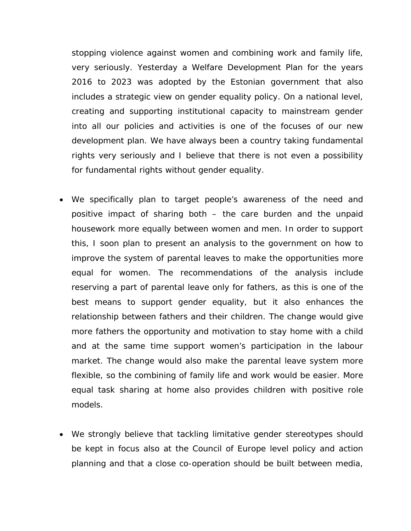stopping violence against women and combining work and family life, very seriously. Yesterday a Welfare Development Plan for the years 2016 to 2023 was adopted by the Estonian government that also includes a strategic view on gender equality policy. On a national level, creating and supporting institutional capacity to mainstream gender into all our policies and activities is one of the focuses of our new development plan. We have always been a country taking fundamental rights very seriously and I believe that there is not even a possibility for fundamental rights without gender equality.

- We specifically plan to target people's awareness of the need and positive impact of sharing both – the care burden and the unpaid housework more equally between women and men. In order to support this, I soon plan to present an analysis to the government on how to improve the system of parental leaves to make the opportunities more equal for women. The recommendations of the analysis include reserving a part of parental leave only for fathers, as this is one of the best means to support gender equality, but it also enhances the relationship between fathers and their children. The change would give more fathers the opportunity and motivation to stay home with a child and at the same time support women's participation in the labour market. The change would also make the parental leave system more flexible, so the combining of family life and work would be easier. More equal task sharing at home also provides children with positive role models.
- We strongly believe that tackling limitative gender stereotypes should be kept in focus also at the Council of Europe level policy and action planning and that a close co-operation should be built between media,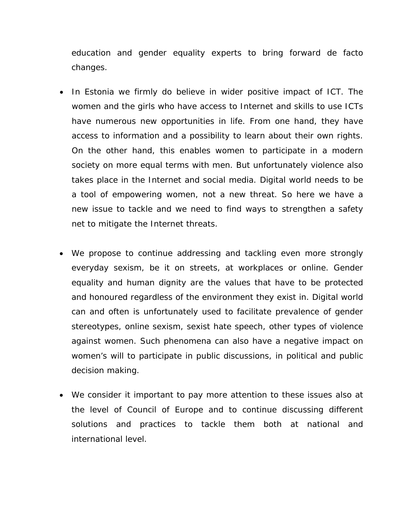education and gender equality experts to bring forward de facto changes.

- In Estonia we firmly do believe in wider positive impact of ICT. The women and the girls who have access to Internet and skills to use ICTs have numerous new opportunities in life. From one hand, they have access to information and a possibility to learn about their own rights. On the other hand, this enables women to participate in a modern society on more equal terms with men. But unfortunately violence also takes place in the Internet and social media. Digital world needs to be a tool of empowering women, not a new threat. So here we have a new issue to tackle and we need to find ways to strengthen a safety net to mitigate the Internet threats.
- We propose to continue addressing and tackling even more strongly everyday sexism, be it on streets, at workplaces or online. Gender equality and human dignity are the values that have to be protected and honoured regardless of the environment they exist in. Digital world can and often is unfortunately used to facilitate prevalence of gender stereotypes, online sexism, sexist hate speech, other types of violence against women. Such phenomena can also have a negative impact on women's will to participate in public discussions, in political and public decision making.
- We consider it important to pay more attention to these issues also at the level of Council of Europe and to continue discussing different solutions and practices to tackle them both at national and international level.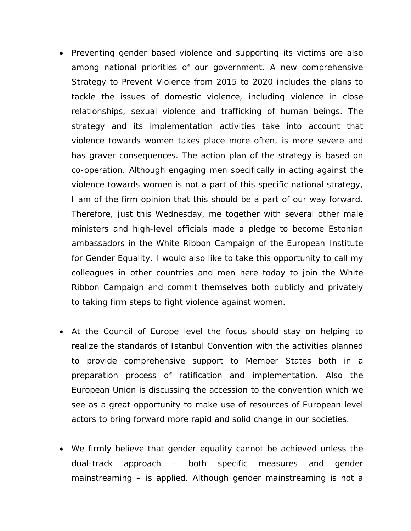- Preventing gender based violence and supporting its victims are also among national priorities of our government. A new comprehensive Strategy to Prevent Violence from 2015 to 2020 includes the plans to tackle the issues of domestic violence, including violence in close relationships, sexual violence and trafficking of human beings. The strategy and its implementation activities take into account that violence towards women takes place more often, is more severe and has graver consequences. The action plan of the strategy is based on co-operation. Although engaging men specifically in acting against the violence towards women is not a part of this specific national strategy, I am of the firm opinion that this should be a part of our way forward. Therefore, just this Wednesday, me together with several other male ministers and high-level officials made a pledge to become Estonian ambassadors in the White Ribbon Campaign of the European Institute for Gender Equality. I would also like to take this opportunity to call my colleagues in other countries and men here today to join the White Ribbon Campaign and commit themselves both publicly and privately to taking firm steps to fight violence against women.
- At the Council of Europe level the focus should stay on helping to realize the standards of Istanbul Convention with the activities planned to provide comprehensive support to Member States both in a preparation process of ratification and implementation. Also the European Union is discussing the accession to the convention which we see as a great opportunity to make use of resources of European level actors to bring forward more rapid and solid change in our societies.
- We firmly believe that gender equality cannot be achieved unless the dual-track approach – both specific measures and gender mainstreaming – is applied. Although gender mainstreaming is not a